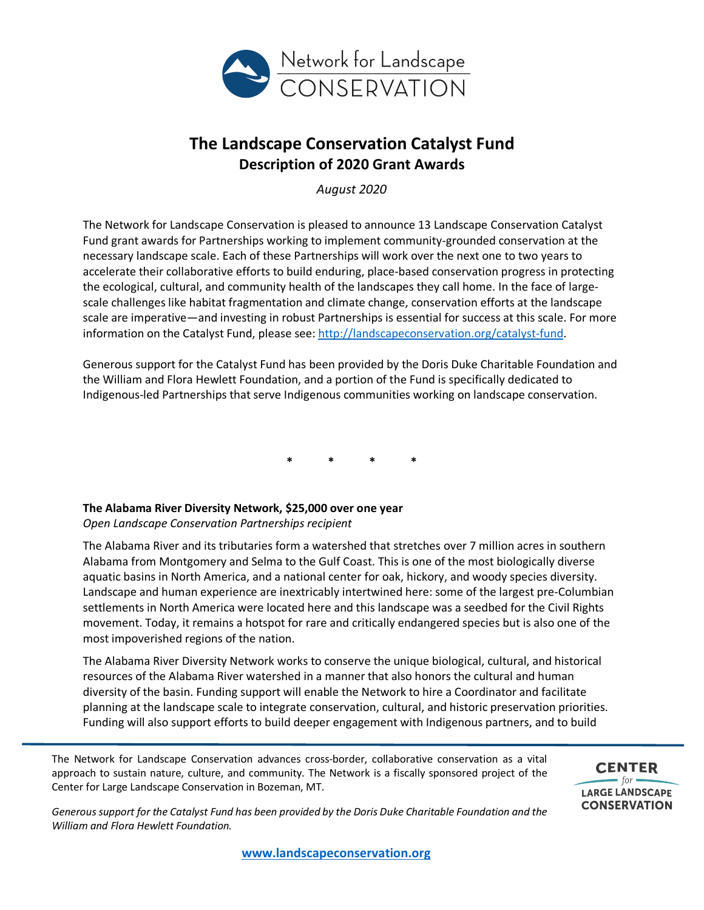

# **The Landscape Conservation Catalyst Fund Description of 2020 Grant Awards**

*August 2020*

The Network for Landscape Conservation is pleased to announce 13 Landscape Conservation Catalyst Fund grant awards for Partnerships working to implement community-grounded conservation at the necessary landscape scale. Each of these Partnerships will work over the next one to two years to accelerate their collaborative efforts to build enduring, place-based conservation progress in protecting the ecological, cultural, and community health of the landscapes they call home. In the face of largescale challenges like habitat fragmentation and climate change, conservation efforts at the landscape scale are imperative—and investing in robust Partnerships is essential for success at this scale. For more information on the Catalyst Fund, please see: http://landscapeconservation.org/catalyst-fund.

Generous support for the Catalyst Fund has been provided by the Doris Duke Charitable Foundation and the William and Flora Hewlett Foundation, and a portion of the Fund is specifically dedicated to Indigenous-led Partnerships that serve Indigenous communities working on landscape conservation.

**\* \* \* \***

# **The Alabama River Diversity Network, \$25,000 over one year**

*Open Landscape Conservation Partnerships recipient*

The Alabama River and its tributaries form a watershed that stretches over 7 million acres in southern Alabama from Montgomery and Selma to the Gulf Coast. This is one of the most biologically diverse aquatic basins in North America, and a national center for oak, hickory, and woody species diversity. Landscape and human experience are inextricably intertwined here: some of the largest pre-Columbian settlements in North America were located here and this landscape was a seedbed for the Civil Rights movement. Today, it remains a hotspot for rare and critically endangered species but is also one of the most impoverished regions of the nation.

The Alabama River Diversity Network works to conserve the unique biological, cultural, and historical resources of the Alabama River watershed in a manner that also honors the cultural and human diversity of the basin. Funding support will enable the Network to hire a Coordinator and facilitate planning at the landscape scale to integrate conservation, cultural, and historic preservation priorities. Funding will also support efforts to build deeper engagement with Indigenous partners, and to build

The Network for Landscape Conservation advances cross-border, collaborative conservation as a vital approach to sustain nature, culture, and community. The Network is a fiscally sponsored project of the Center for Large Landscape Conservation in Bozeman, MT.

**CENTER**  $=$  for  $\cdot$ **LARGE LANDSCAPE CONSERVATION** 

*Generous support for the Catalyst Fund has been provided by the Doris Duke Charitable Foundation and the William and Flora Hewlett Foundation.*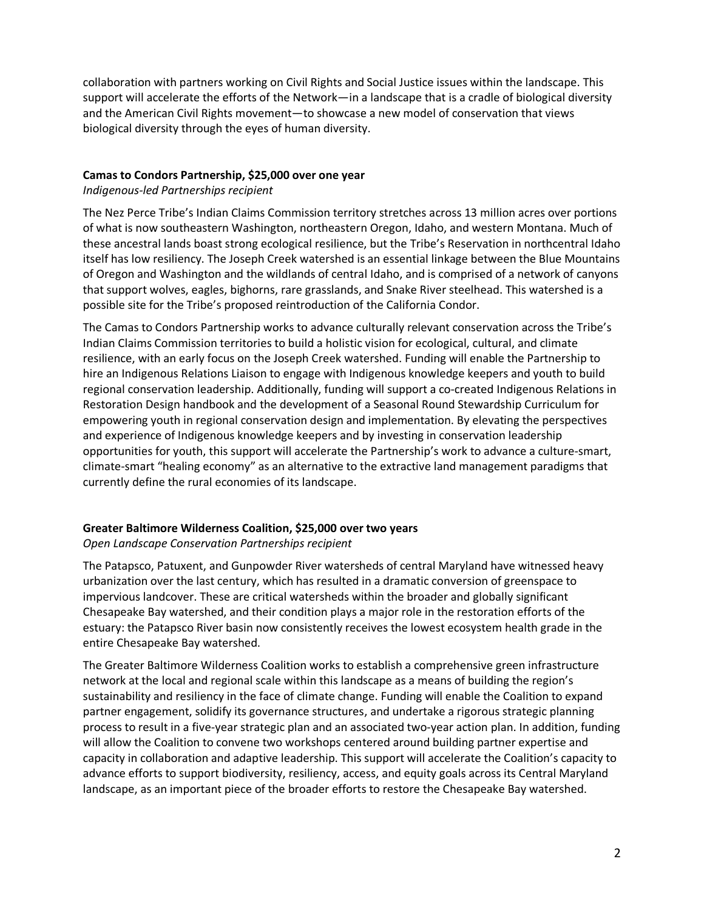collaboration with partners working on Civil Rights and Social Justice issues within the landscape. This support will accelerate the efforts of the Network—in a landscape that is a cradle of biological diversity and the American Civil Rights movement—to showcase a new model of conservation that views biological diversity through the eyes of human diversity.

#### **Camas to Condors Partnership, \$25,000 over one year**

## *Indigenous-led Partnerships recipient*

The Nez Perce Tribe's Indian Claims Commission territory stretches across 13 million acres over portions of what is now southeastern Washington, northeastern Oregon, Idaho, and western Montana. Much of these ancestral lands boast strong ecological resilience, but the Tribe's Reservation in northcentral Idaho itself has low resiliency. The Joseph Creek watershed is an essential linkage between the Blue Mountains of Oregon and Washington and the wildlands of central Idaho, and is comprised of a network of canyons that support wolves, eagles, bighorns, rare grasslands, and Snake River steelhead. This watershed is a possible site for the Tribe's proposed reintroduction of the California Condor.

The Camas to Condors Partnership works to advance culturally relevant conservation across the Tribe's Indian Claims Commission territories to build a holistic vision for ecological, cultural, and climate resilience, with an early focus on the Joseph Creek watershed. Funding will enable the Partnership to hire an Indigenous Relations Liaison to engage with Indigenous knowledge keepers and youth to build regional conservation leadership. Additionally, funding will support a co-created Indigenous Relations in Restoration Design handbook and the development of a Seasonal Round Stewardship Curriculum for empowering youth in regional conservation design and implementation. By elevating the perspectives and experience of Indigenous knowledge keepers and by investing in conservation leadership opportunities for youth, this support will accelerate the Partnership's work to advance a culture-smart, climate-smart "healing economy" as an alternative to the extractive land management paradigms that currently define the rural economies of its landscape.

# **Greater Baltimore Wilderness Coalition, \$25,000 over two years**

# *Open Landscape Conservation Partnerships recipient*

The Patapsco, Patuxent, and Gunpowder River watersheds of central Maryland have witnessed heavy urbanization over the last century, which has resulted in a dramatic conversion of greenspace to impervious landcover. These are critical watersheds within the broader and globally significant Chesapeake Bay watershed, and their condition plays a major role in the restoration efforts of the estuary: the Patapsco River basin now consistently receives the lowest ecosystem health grade in the entire Chesapeake Bay watershed.

The Greater Baltimore Wilderness Coalition works to establish a comprehensive green infrastructure network at the local and regional scale within this landscape as a means of building the region's sustainability and resiliency in the face of climate change. Funding will enable the Coalition to expand partner engagement, solidify its governance structures, and undertake a rigorous strategic planning process to result in a five-year strategic plan and an associated two-year action plan. In addition, funding will allow the Coalition to convene two workshops centered around building partner expertise and capacity in collaboration and adaptive leadership. This support will accelerate the Coalition's capacity to advance efforts to support biodiversity, resiliency, access, and equity goals across its Central Maryland landscape, as an important piece of the broader efforts to restore the Chesapeake Bay watershed.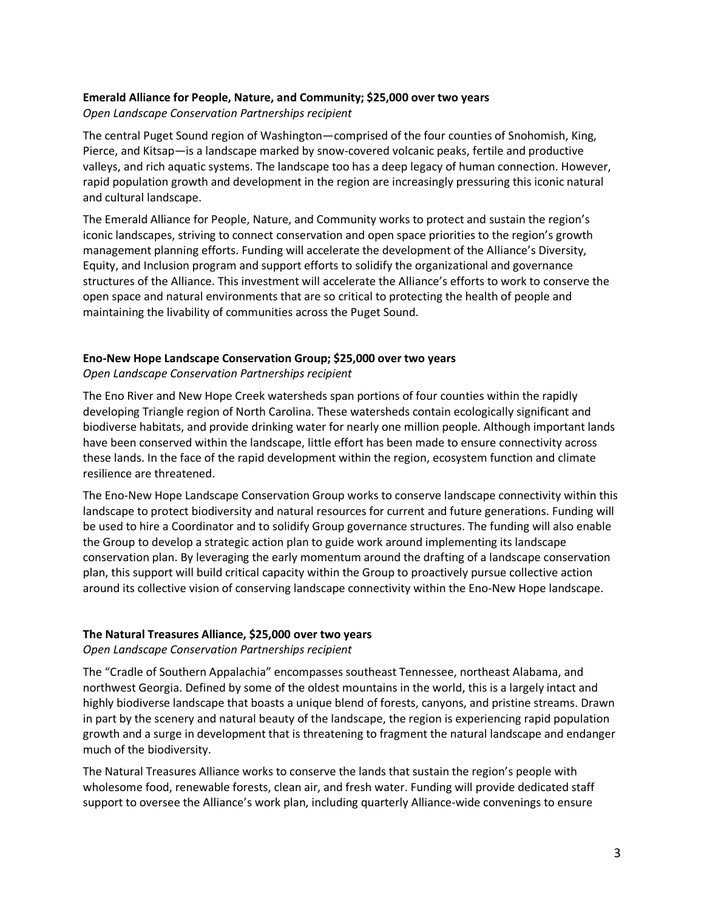# **Emerald Alliance for People, Nature, and Community; \$25,000 over two years**

*Open Landscape Conservation Partnerships recipient*

The central Puget Sound region of Washington—comprised of the four counties of Snohomish, King, Pierce, and Kitsap—is a landscape marked by snow-covered volcanic peaks, fertile and productive valleys, and rich aquatic systems. The landscape too has a deep legacy of human connection. However, rapid population growth and development in the region are increasingly pressuring this iconic natural and cultural landscape.

The Emerald Alliance for People, Nature, and Community works to protect and sustain the region's iconic landscapes, striving to connect conservation and open space priorities to the region's growth management planning efforts. Funding will accelerate the development of the Alliance's Diversity, Equity, and Inclusion program and support efforts to solidify the organizational and governance structures of the Alliance. This investment will accelerate the Alliance's efforts to work to conserve the open space and natural environments that are so critical to protecting the health of people and maintaining the livability of communities across the Puget Sound.

# **Eno-New Hope Landscape Conservation Group; \$25,000 over two years**

*Open Landscape Conservation Partnerships recipient*

The Eno River and New Hope Creek watersheds span portions of four counties within the rapidly developing Triangle region of North Carolina. These watersheds contain ecologically significant and biodiverse habitats, and provide drinking water for nearly one million people. Although important lands have been conserved within the landscape, little effort has been made to ensure connectivity across these lands. In the face of the rapid development within the region, ecosystem function and climate resilience are threatened.

The Eno-New Hope Landscape Conservation Group works to conserve landscape connectivity within this landscape to protect biodiversity and natural resources for current and future generations. Funding will be used to hire a Coordinator and to solidify Group governance structures. The funding will also enable the Group to develop a strategic action plan to guide work around implementing its landscape conservation plan. By leveraging the early momentum around the drafting of a landscape conservation plan, this support will build critical capacity within the Group to proactively pursue collective action around its collective vision of conserving landscape connectivity within the Eno-New Hope landscape.

# **The Natural Treasures Alliance, \$25,000 over two years**

*Open Landscape Conservation Partnerships recipient*

The "Cradle of Southern Appalachia" encompasses southeast Tennessee, northeast Alabama, and northwest Georgia. Defined by some of the oldest mountains in the world, this is a largely intact and highly biodiverse landscape that boasts a unique blend of forests, canyons, and pristine streams. Drawn in part by the scenery and natural beauty of the landscape, the region is experiencing rapid population growth and a surge in development that is threatening to fragment the natural landscape and endanger much of the biodiversity.

The Natural Treasures Alliance works to conserve the lands that sustain the region's people with wholesome food, renewable forests, clean air, and fresh water. Funding will provide dedicated staff support to oversee the Alliance's work plan, including quarterly Alliance-wide convenings to ensure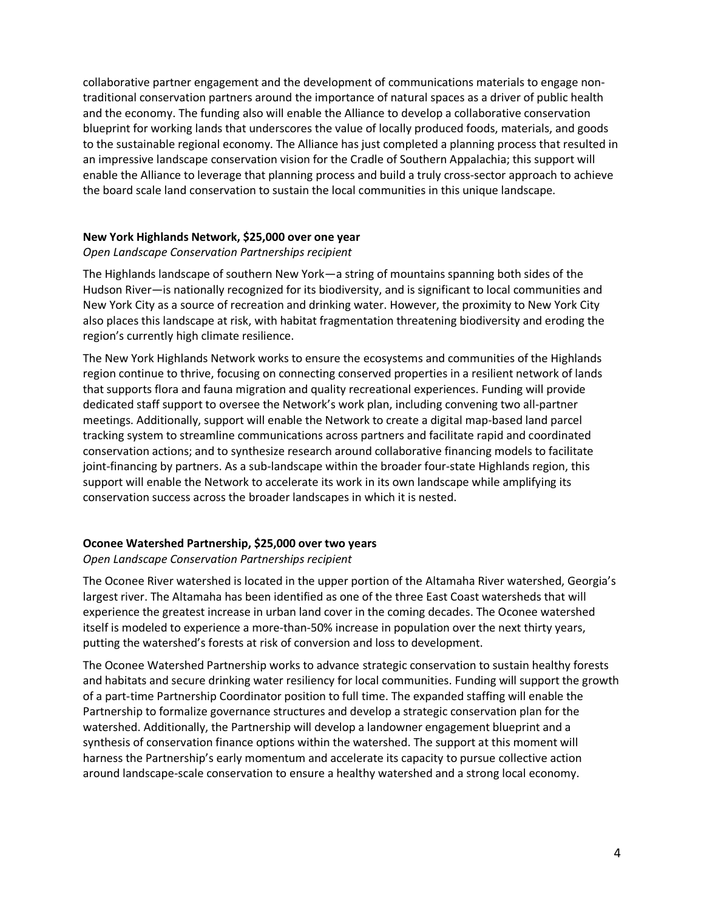collaborative partner engagement and the development of communications materials to engage nontraditional conservation partners around the importance of natural spaces as a driver of public health and the economy. The funding also will enable the Alliance to develop a collaborative conservation blueprint for working lands that underscores the value of locally produced foods, materials, and goods to the sustainable regional economy. The Alliance has just completed a planning process that resulted in an impressive landscape conservation vision for the Cradle of Southern Appalachia; this support will enable the Alliance to leverage that planning process and build a truly cross-sector approach to achieve the board scale land conservation to sustain the local communities in this unique landscape.

## **New York Highlands Network, \$25,000 over one year**

*Open Landscape Conservation Partnerships recipient*

The Highlands landscape of southern New York—a string of mountains spanning both sides of the Hudson River—is nationally recognized for its biodiversity, and is significant to local communities and New York City as a source of recreation and drinking water. However, the proximity to New York City also places this landscape at risk, with habitat fragmentation threatening biodiversity and eroding the region's currently high climate resilience.

The New York Highlands Network works to ensure the ecosystems and communities of the Highlands region continue to thrive, focusing on connecting conserved properties in a resilient network of lands that supports flora and fauna migration and quality recreational experiences. Funding will provide dedicated staff support to oversee the Network's work plan, including convening two all-partner meetings. Additionally, support will enable the Network to create a digital map-based land parcel tracking system to streamline communications across partners and facilitate rapid and coordinated conservation actions; and to synthesize research around collaborative financing models to facilitate joint-financing by partners. As a sub-landscape within the broader four-state Highlands region, this support will enable the Network to accelerate its work in its own landscape while amplifying its conservation success across the broader landscapes in which it is nested.

# **Oconee Watershed Partnership, \$25,000 over two years**

#### *Open Landscape Conservation Partnerships recipient*

The Oconee River watershed is located in the upper portion of the Altamaha River watershed, Georgia's largest river. The Altamaha has been identified as one of the three East Coast watersheds that will experience the greatest increase in urban land cover in the coming decades. The Oconee watershed itself is modeled to experience a more-than-50% increase in population over the next thirty years, putting the watershed's forests at risk of conversion and loss to development.

The Oconee Watershed Partnership works to advance strategic conservation to sustain healthy forests and habitats and secure drinking water resiliency for local communities. Funding will support the growth of a part-time Partnership Coordinator position to full time. The expanded staffing will enable the Partnership to formalize governance structures and develop a strategic conservation plan for the watershed. Additionally, the Partnership will develop a landowner engagement blueprint and a synthesis of conservation finance options within the watershed. The support at this moment will harness the Partnership's early momentum and accelerate its capacity to pursue collective action around landscape-scale conservation to ensure a healthy watershed and a strong local economy.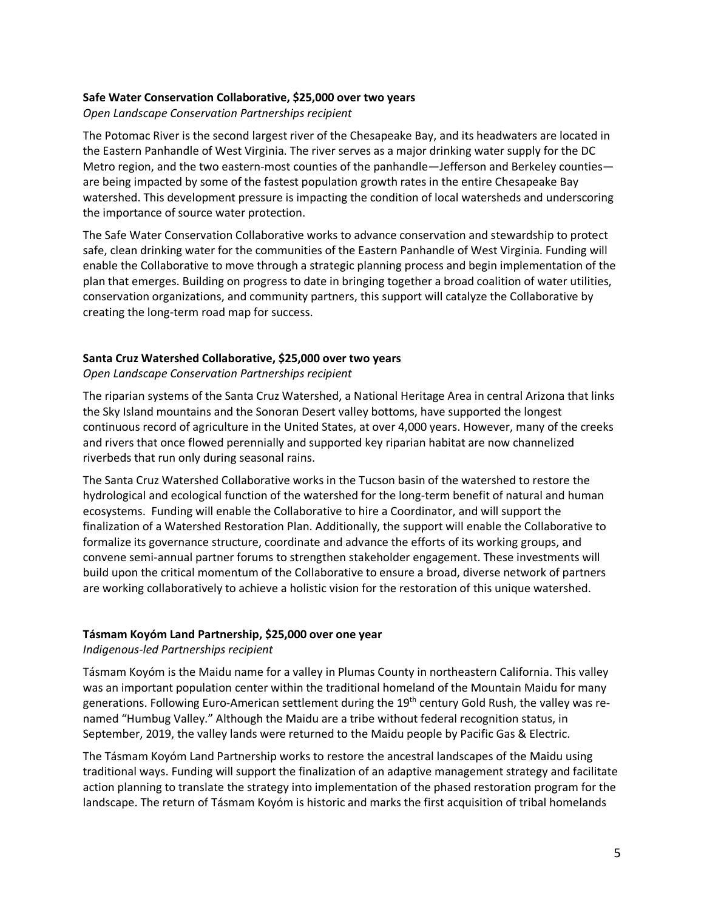## **Safe Water Conservation Collaborative, \$25,000 over two years**

*Open Landscape Conservation Partnerships recipient*

The Potomac River is the second largest river of the Chesapeake Bay, and its headwaters are located in the Eastern Panhandle of West Virginia. The river serves as a major drinking water supply for the DC Metro region, and the two eastern-most counties of the panhandle—Jefferson and Berkeley counties are being impacted by some of the fastest population growth rates in the entire Chesapeake Bay watershed. This development pressure is impacting the condition of local watersheds and underscoring the importance of source water protection.

The Safe Water Conservation Collaborative works to advance conservation and stewardship to protect safe, clean drinking water for the communities of the Eastern Panhandle of West Virginia. Funding will enable the Collaborative to move through a strategic planning process and begin implementation of the plan that emerges. Building on progress to date in bringing together a broad coalition of water utilities, conservation organizations, and community partners, this support will catalyze the Collaborative by creating the long-term road map for success.

# **Santa Cruz Watershed Collaborative, \$25,000 over two years**

*Open Landscape Conservation Partnerships recipient*

The riparian systems of the Santa Cruz Watershed, a National Heritage Area in central Arizona that links the Sky Island mountains and the Sonoran Desert valley bottoms, have supported the longest continuous record of agriculture in the United States, at over 4,000 years. However, many of the creeks and rivers that once flowed perennially and supported key riparian habitat are now channelized riverbeds that run only during seasonal rains.

The Santa Cruz Watershed Collaborative works in the Tucson basin of the watershed to restore the hydrological and ecological function of the watershed for the long-term benefit of natural and human ecosystems. Funding will enable the Collaborative to hire a Coordinator, and will support the finalization of a Watershed Restoration Plan. Additionally, the support will enable the Collaborative to formalize its governance structure, coordinate and advance the efforts of its working groups, and convene semi-annual partner forums to strengthen stakeholder engagement. These investments will build upon the critical momentum of the Collaborative to ensure a broad, diverse network of partners are working collaboratively to achieve a holistic vision for the restoration of this unique watershed.

# **Tásmam Koyóm Land Partnership, \$25,000 over one year**

*Indigenous-led Partnerships recipient*

Tásmam Koyóm is the Maidu name for a valley in Plumas County in northeastern California. This valley was an important population center within the traditional homeland of the Mountain Maidu for many generations. Following Euro-American settlement during the 19<sup>th</sup> century Gold Rush, the valley was renamed "Humbug Valley." Although the Maidu are a tribe without federal recognition status, in September, 2019, the valley lands were returned to the Maidu people by Pacific Gas & Electric.

The Tásmam Koyóm Land Partnership works to restore the ancestral landscapes of the Maidu using traditional ways. Funding will support the finalization of an adaptive management strategy and facilitate action planning to translate the strategy into implementation of the phased restoration program for the landscape. The return of Tásmam Koyóm is historic and marks the first acquisition of tribal homelands